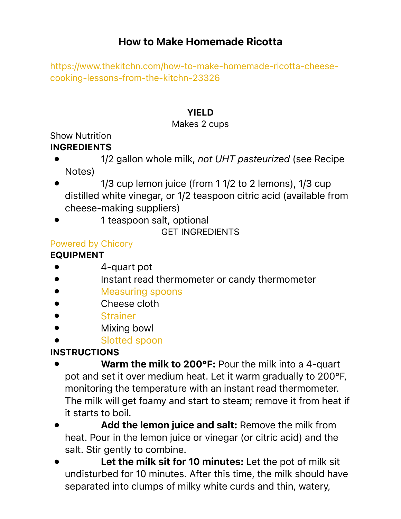# How to Make Homemade Ricotta

[https://www.thekitchn.com/how-to-make-homemade-ricotta-cheese](https://www.thekitchn.com/how-to-make-homemade-ricotta-cheese-cooking-lessons-from-the-kitchn-23326)[cooking-lessons-from-the-kitchn-23326](https://www.thekitchn.com/how-to-make-homemade-ricotta-cheese-cooking-lessons-from-the-kitchn-23326)

## YIELD

### Makes 2 cups

Show Nutrition

## INGREDIENTS

- 1/2 gallon whole milk, *not UHT pasteurized* (see Recipe Notes)
- 1/3 cup lemon juice (from 1 1/2 to 2 lemons), 1/3 cup distilled white vinegar, or 1/2 teaspoon citric acid (available from cheese-making suppliers)
- 1 teaspoon salt, optional

GET INGREDIENTS

## [Powered by Chicory](https://chicory.co/?utm_source=Chicory&utm_medium=campaign+&utm_campaign=chicory-powered-by-button&utm_id=1&utm_term=Chicory+powered+by+button+&utm_content=Chicory+powered+by+button+)

## EQUIPMENT

- 4-quart pot
- Instant read thermometer or candy thermometer
- [Measuring spoons](https://amzn.to/2Cx3683?tag=kitchn-20)
- Cheese cloth
- **[Strainer](https://amzn.to/2FIDlEX?tag=kitchn-20)**
- Mixing bowl
- [Slotted spoon](https://amzn.to/2CEX9WP?tag=kitchn-20)

# **INSTRUCTIONS**

- Warm the milk to 200°F: Pour the milk into a 4-quart pot and set it over medium heat. Let it warm gradually to 200°F, monitoring the temperature with an instant read thermometer. The milk will get foamy and start to steam; remove it from heat if it starts to boil.
- Add the lemon juice and salt: Remove the milk from heat. Pour in the lemon juice or vinegar (or citric acid) and the salt. Stir gently to combine.
- Let the milk sit for 10 minutes: Let the pot of milk sit undisturbed for 10 minutes. After this time, the milk should have separated into clumps of milky white curds and thin, watery,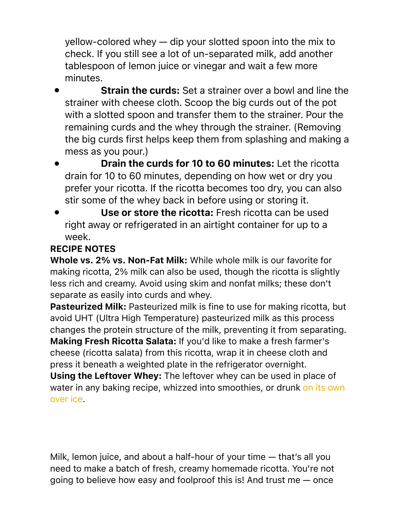yellow-colored whey — dip your slotted spoon into the mix to check. If you still see a lot of un-separated milk, add another tablespoon of lemon juice or vinegar and wait a few more minutes.

- **Strain the curds:** Set a strainer over a bowl and line the strainer with cheese cloth. Scoop the big curds out of the pot with a slotted spoon and transfer them to the strainer. Pour the remaining curds and the whey through the strainer. (Removing the big curds first helps keep them from splashing and making a mess as you pour.)
- Drain the curds for 10 to 60 minutes: Let the ricotta drain for 10 to 60 minutes, depending on how wet or dry you prefer your ricotta. If the ricotta becomes too dry, you can also stir some of the whey back in before using or storing it.
- Use or store the ricotta: Fresh ricotta can be used right away or refrigerated in an airtight container for up to a week.

## RECIPE NOTES

Whole vs. 2% vs. Non-Fat Milk: While whole milk is our favorite for making ricotta, 2% milk can also be used, though the ricotta is slightly less rich and creamy. Avoid using skim and nonfat milks; these don't separate as easily into curds and whey.

Pasteurized Milk: Pasteurized milk is fine to use for making ricotta, but avoid UHT (Ultra High Temperature) pasteurized milk as this process changes the protein structure of the milk, preventing it from separating. Making Fresh Ricotta Salata: If you'd like to make a fresh farmer's cheese (ricotta salata) from this ricotta, wrap it in cheese cloth and press it beneath a weighted plate in the refrigerator overnight. Using the Leftover Whey: The leftover whey can be used in place of water in any baking recipe, whizzed into smoothies, or drunk on its own [over ice](https://www.thekitchn.com/whey-tasty-whey-yes-whey-the-cheesemonger-183749).

Milk, lemon juice, and about a half-hour of your time — that's all you need to make a batch of fresh, creamy homemade ricotta. You're not going to believe how easy and foolproof this is! And trust me — once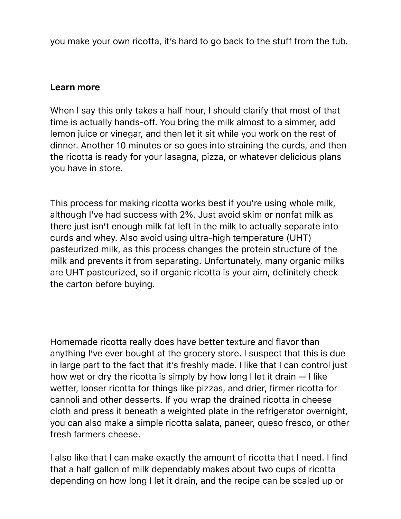you make your own ricotta, it's hard to go back to the stuff from the tub.

#### Learn more

When I say this only takes a half hour, I should clarify that most of that time is actually hands-off. You bring the milk almost to a simmer, add lemon juice or vinegar, and then let it sit while you work on the rest of dinner. Another 10 minutes or so goes into straining the curds, and then the ricotta is ready for your lasagna, pizza, or whatever delicious plans you have in store.

This process for making ricotta works best if you're using whole milk, although I've had success with 2%. Just avoid skim or nonfat milk as there just isn't enough milk fat left in the milk to actually separate into curds and whey. Also avoid using ultra-high temperature (UHT) pasteurized milk, as this process changes the protein structure of the milk and prevents it from separating. Unfortunately, many organic milks are UHT pasteurized, so if organic ricotta is your aim, definitely check the carton before buying.

Homemade ricotta really does have better texture and flavor than anything I've ever bought at the grocery store. I suspect that this is due in large part to the fact that it's freshly made. I like that I can control just how wet or dry the ricotta is simply by how long I let it drain — I like wetter, looser ricotta for things like pizzas, and drier, firmer ricotta for cannoli and other desserts. If you wrap the drained ricotta in cheese cloth and press it beneath a weighted plate in the refrigerator overnight, you can also make a simple ricotta salata, paneer, queso fresco, or other fresh farmers cheese.

I also like that I can make exactly the amount of ricotta that I need. I find that a half gallon of milk dependably makes about two cups of ricotta depending on how long I let it drain, and the recipe can be scaled up or